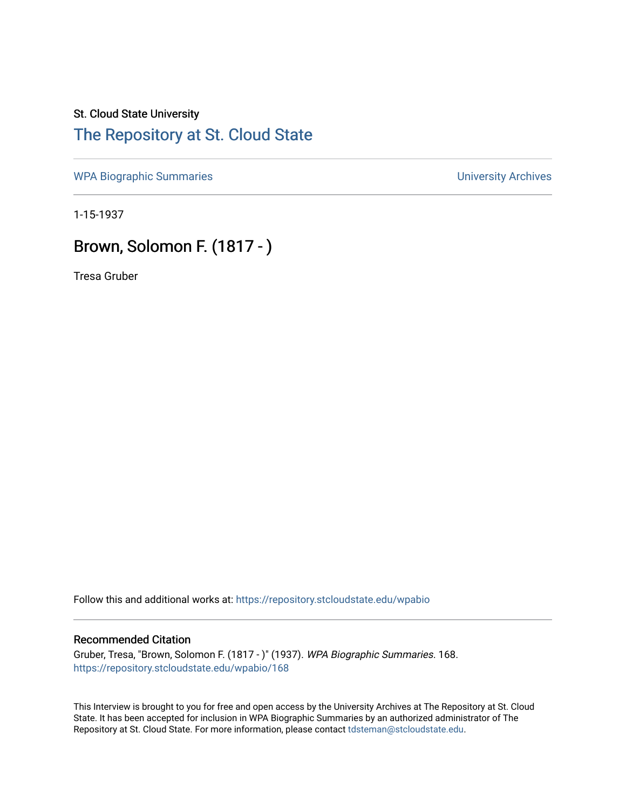## St. Cloud State University [The Repository at St. Cloud State](https://repository.stcloudstate.edu/)

[WPA Biographic Summaries](https://repository.stcloudstate.edu/wpabio) **WPA Biographic Summaries University Archives** 

1-15-1937

## Brown, Solomon F. (1817 - )

Tresa Gruber

Follow this and additional works at: [https://repository.stcloudstate.edu/wpabio](https://repository.stcloudstate.edu/wpabio?utm_source=repository.stcloudstate.edu%2Fwpabio%2F168&utm_medium=PDF&utm_campaign=PDFCoverPages) 

## Recommended Citation

Gruber, Tresa, "Brown, Solomon F. (1817 - )" (1937). WPA Biographic Summaries. 168. [https://repository.stcloudstate.edu/wpabio/168](https://repository.stcloudstate.edu/wpabio/168?utm_source=repository.stcloudstate.edu%2Fwpabio%2F168&utm_medium=PDF&utm_campaign=PDFCoverPages) 

This Interview is brought to you for free and open access by the University Archives at The Repository at St. Cloud State. It has been accepted for inclusion in WPA Biographic Summaries by an authorized administrator of The Repository at St. Cloud State. For more information, please contact [tdsteman@stcloudstate.edu.](mailto:tdsteman@stcloudstate.edu)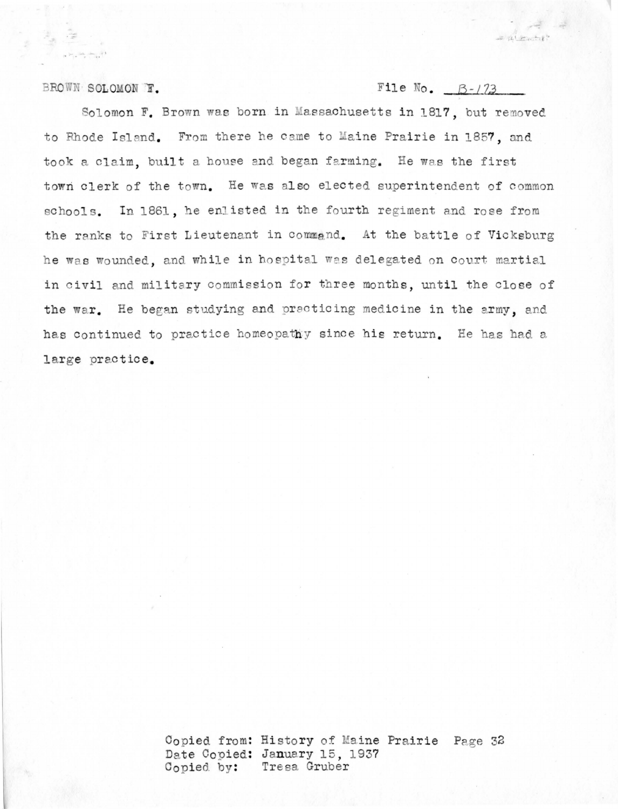BROWN SOLOMON F.

File No.  $B-1/73$ 

 $= 161 + 128$ 

Solomon F. Brown was born in Massachusetts in 1817, but removed to Rhode Island. From there he came to Maine Prairie in 1857, and took a claim, built a house and began farming. He was the first town clerk of the town. He was also elected superintendent of common schools. In 1861, he enlisted in the fourth regiment and rose from the ranks to First Lieutenant in command. At the battle of Vicksburg he was wounded, and while in hospital was delegated on court martial in civil and military commission for three months, until the close of the war. He began studying and practicing medicine in the army, and has continued to practice homeopathy since his return. He has had a large practice.

> Copied from: History of Maine Prairie Page 32 Date Copied: January 15, 1937 Copied by: Tresa Gruber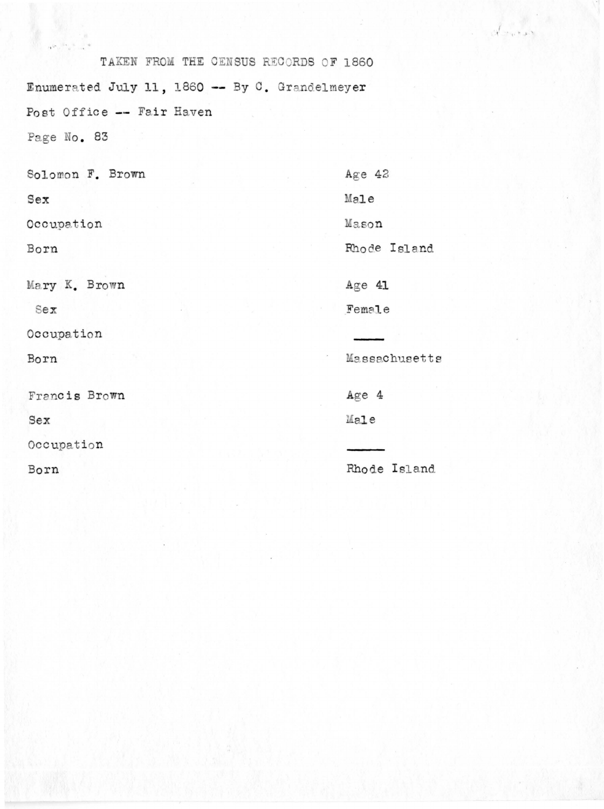TAKEN FROM THE CENSUS RECORDS OF 1860 Enumerated July 11, 1860 -- By C. Grandelmeyer Post Office -- Fair Haven Page No. 83

Solomon F. Brown

Sex

Occupation

Born

Mary K. Brown

Sex

Occupation

Born

Francis Brown

Sex

Occupation

Born

Age  $42$ Male Mason Rhode Island Age 41 Female

 $\epsilon_{\infty}$  ,  $\epsilon_{\infty}$ 

Massachusetts

 $Age 4$ Male

Rhode Island